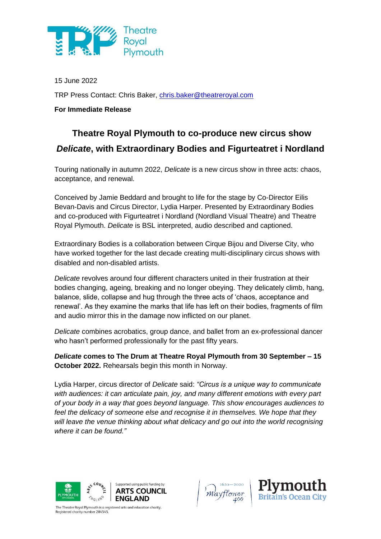

15 June 2022 TRP Press Contact: Chris Baker, [chris.baker@theatreroyal.com](mailto:chris.baker@theatreroyal.com)

**For Immediate Release**

# **Theatre Royal Plymouth to co-produce new circus show** *Delicate***, with Extraordinary Bodies and Figurteatret i Nordland**

Touring nationally in autumn 2022, *Delicate* is a new circus show in three acts: chaos, acceptance, and renewal.

Conceived by Jamie Beddard and brought to life for the stage by Co-Director Eilis Bevan-Davis and Circus Director, Lydia Harper. Presented by Extraordinary Bodies and co-produced with Figurteatret i Nordland (Nordland Visual Theatre) and Theatre Royal Plymouth. *Delicate* is BSL interpreted, audio described and captioned.

Extraordinary Bodies is a collaboration between Cirque Bijou and Diverse City, who have worked together for the last decade creating multi-disciplinary circus shows with disabled and non-disabled artists.

*Delicate* revolves around four different characters united in their frustration at their bodies changing, ageing, breaking and no longer obeying. They delicately climb, hang, balance, slide, collapse and hug through the three acts of 'chaos, acceptance and renewal'. As they examine the marks that life has left on their bodies, fragments of film and audio mirror this in the damage now inflicted on our planet.

*Delicate* combines acrobatics, group dance, and ballet from an ex-professional dancer who hasn't performed professionally for the past fifty years.

*Delicate* **comes to The Drum at Theatre Royal Plymouth from 30 September – 15 October 2022.** Rehearsals begin this month in Norway.

Lydia Harper, circus director of *Delicate* said: *"Circus is a unique way to communicate with audiences: it can articulate pain, joy, and many different emotions with every part of your body in a way that goes beyond language. This show encourages audiences to*  feel the delicacy of someone else and recognise it in themselves. We hope that they *will leave the venue thinking about what delicacy and go out into the world recognising where it can be found."*





The Theatre Royal Plymouth is a registered arts and education charity. egistered charity number 284545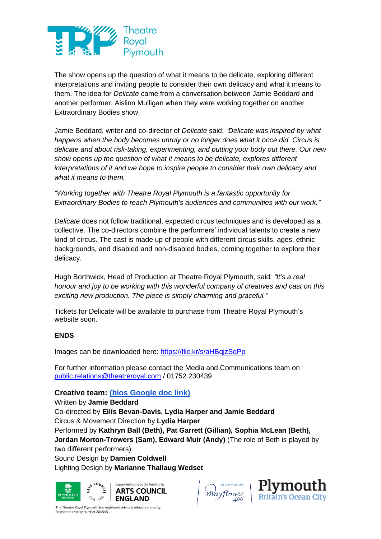

The show opens up the question of what it means to be delicate, exploring different interpretations and inviting people to consider their own delicacy and what it means to them. The idea for *Delicate* came from a conversation between Jamie Beddard and another performer, Aislinn Mulligan when they were working together on another Extraordinary Bodies show.

Jamie Beddard, writer and co-director of *Delicate* said: *"Delicate was inspired by what happens when the body becomes unruly or no longer does what it once did. Circus is delicate and about risk-taking, experimenting, and putting your body out there. Our new show opens up the question of what it means to be delicate, explores different interpretations of it and we hope to inspire people to consider their own delicacy and what it means to them.*

*"Working together with Theatre Royal Plymouth is a fantastic opportunity for Extraordinary Bodies to reach Plymouth's audiences and communities with our work."*

*Delicate* does not follow traditional, expected circus techniques and is developed as a collective. The co-directors combine the performers' individual talents to create a new kind of circus. The cast is made up of people with different circus skills, ages, ethnic backgrounds, and disabled and non-disabled bodies, coming together to explore their delicacy.

Hugh Borthwick, Head of Production at Theatre Royal Plymouth, said: *"It's a real honour and joy to be working with this wonderful company of creatives and cast on this exciting new production. The piece is simply charming and graceful."*

Tickets for Delicate will be available to purchase from Theatre Royal Plymouth's website soon.

# **ENDS**

Images can be downloaded here: <https://flic.kr/s/aHBqjzSqPp>

For further information please contact the Media and Communications team on [public.relations@theatreroyal.com](mailto:public.relations@theatreroyal.com) / 01752 230439

# **Creative team: [\(bios Google doc link\)](https://docs.google.com/document/d/1JdyZ9o5PbmjLnquU8uRle3D6rytfR4mzEV7147zRxu8/edit?usp=sharing)**

Written by **Jamie Beddard** Co-directed by **Eilís Bevan-Davis, Lydia Harper and Jamie Beddard** Circus & Movement Direction by **Lydia Harper** Performed by **Kathryn Ball (Beth), Pat Garrett (Gillian), Sophia McLean (Beth), Jordan Morton-Trowers (Sam), Edward Muir (Andy)** (The role of Beth is played by two different performers) Sound Design by **Damien Coldwell** Lighting Design by **Marianne Thallaug Wedset**



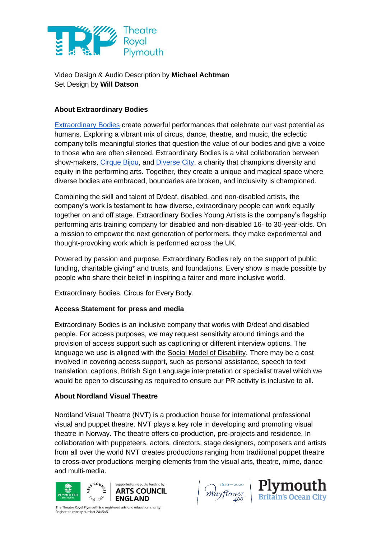

Video Design & Audio Description by **Michael Achtman** Set Design by **Will Datson**

# **About Extraordinary Bodies**

[Extraordinary Bodies](http://extraordinarybodies.org.uk/) create powerful performances that celebrate our vast potential as humans. Exploring a vibrant mix of circus, dance, theatre, and music, the eclectic company tells meaningful stories that question the value of our bodies and give a voice to those who are often silenced. Extraordinary Bodies is a vital collaboration between show-makers, [Cirque Bijou,](http://www.cirquebijou.co.uk/) and [Diverse City,](http://www.diversecity.org.uk/) a charity that champions diversity and equity in the performing arts. Together, they create a unique and magical space where diverse bodies are embraced, boundaries are broken, and inclusivity is championed.

Combining the skill and talent of D/deaf, disabled, and non-disabled artists, the company's work is testament to how diverse, extraordinary people can work equally together on and off stage. Extraordinary Bodies Young Artists is the company's flagship performing arts training company for disabled and non-disabled 16- to 30-year-olds. On a mission to empower the next generation of performers, they make experimental and thought-provoking work which is performed across the UK.

Powered by passion and purpose, Extraordinary Bodies rely on the support of public funding, charitable giving\* and trusts, and foundations. Every show is made possible by people who share their belief in inspiring a fairer and more inclusive world.

Extraordinary Bodies. Circus for Every Body.

# **Access Statement for press and media**

Extraordinary Bodies is an inclusive company that works with D/deaf and disabled people. For access purposes, we may request sensitivity around timings and the provision of access support such as captioning or different interview options. The language we use is aligned with the [Social Model of Disability.](https://www.inclusionlondon.org.uk/disability-in-london/social-model/the-social-model-of-disability-and-the-cultural-model-of-deafness/) There may be a cost involved in covering access support, such as personal assistance, speech to text translation, captions, British Sign Language interpretation or specialist travel which we would be open to discussing as required to ensure our PR activity is inclusive to all.

# **About Nordland Visual Theatre**

Nordland Visual Theatre (NVT) is a production house for international professional visual and puppet theatre. NVT plays a key role in developing and promoting visual theatre in Norway. The theatre offers co-production, pre-projects and residence. In collaboration with puppeteers, actors, directors, stage designers, composers and artists from all over the world NVT creates productions ranging from traditional puppet theatre to cross-over productions merging elements from the visual arts, theatre, mime, dance and multi-media.



'Mayflower